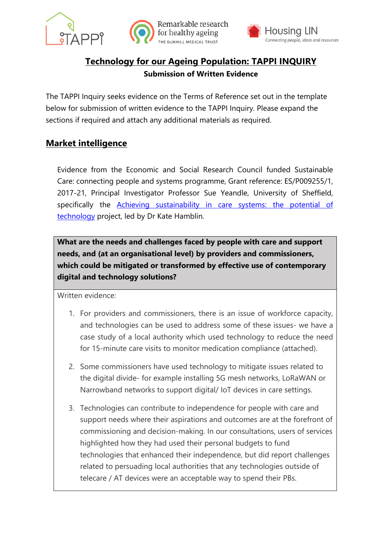



# **Technology for our Ageing Population: TAPPI INQUIRY Submission of Written Evidence**

The TAPPI Inquiry seeks evidence on the Terms of Reference set out in the template below for submission of written evidence to the TAPPI Inquiry. Please expand the sections if required and attach any additional materials as required.

# **Market intelligence**

Evidence from the Economic and Social Research Council funded Sustainable Care: connecting people and systems programme, Grant reference: ES/P009255/1, 2017-21, Principal Investigator Professor Sue Yeandle, University of Sheffield, specifically the **Achieving sustainability in care systems:** the potential of [technology](http://circle.group.shef.ac.uk/portfolio/achieving-sustainability-in-care-systems/) project, led by Dr Kate Hamblin.

**What are the needs and challenges faced by people with care and support needs, and (at an organisational level) by providers and commissioners, which could be mitigated or transformed by effective use of contemporary digital and technology solutions?**

Written evidence:

- 1. For providers and commissioners, there is an issue of workforce capacity, and technologies can be used to address some of these issues- we have a case study of a local authority which used technology to reduce the need for 15-minute care visits to monitor medication compliance (attached).
- 2. Some commissioners have used technology to mitigate issues related to the digital divide- for example installing 5G mesh networks, LoRaWAN or Narrowband networks to support digital/ IoT devices in care settings.
- 3. Technologies can contribute to independence for people with care and support needs where their aspirations and outcomes are at the forefront of commissioning and decision-making. In our consultations, users of services highlighted how they had used their personal budgets to fund technologies that enhanced their independence, but did report challenges related to persuading local authorities that any technologies outside of telecare / AT devices were an acceptable way to spend their PBs.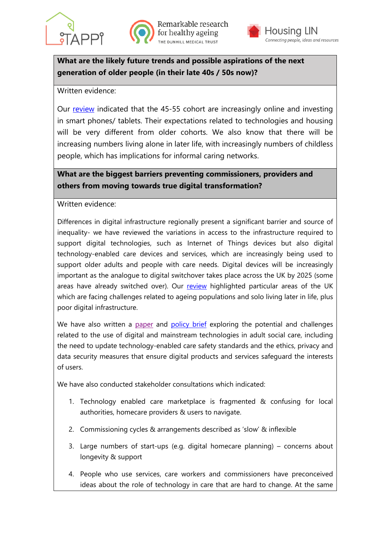



Remarkable research for healthy ageing HE DUNHILL MEDICAL TRUST



**What are the likely future trends and possible aspirations of the next generation of older people (in their late 40s / 50s now)?**

Written evidence:

Our review indicated that the 45-55 cohort are increasingly online and investing in smart phones/ tablets. Their expectations related to technologies and housing will be very different from older cohorts. We also know that there will be increasing numbers living alone in later life, with increasingly numbers of childless people, which has implications for informal caring networks.

# **What are the biggest barriers preventing commissioners, providers and others from moving towards true digital transformation?**

Written evidence:

Differences in digital infrastructure regionally present a significant barrier and source of inequality- we have reviewed the variations in access to the infrastructure required to support digital technologies, such as Internet of Things devices but also digital technology-enabled care devices and services, which are increasingly being used to support older adults and people with care needs. Digital devices will be increasingly important as the analogue to digital switchover takes place across the UK by 2025 (some areas have already switched over). Our review highlighted particular areas of the UK which are facing challenges related to ageing populations and solo living later in life, plus poor digital infrastructure.

We have also written a [paper](https://core.ac.uk/download/pdf/326517946.pdf) and [policy brief](http://circle.group.shef.ac.uk/wp-content/uploads/2020/10/The-Potential-of-Technology.pdf) exploring the potential and challenges related to the use of digital and mainstream technologies in adult social care, including the need to update technology-enabled care safety standards and the ethics, privacy and data security measures that ensure digital products and services safeguard the interests of users.

We have also conducted stakeholder consultations which indicated:

- 1. Technology enabled care marketplace is fragmented & confusing for local authorities, homecare providers & users to navigate.
- 2. Commissioning cycles & arrangements described as 'slow' & inflexible
- 3. Large numbers of start-ups (e.g. digital homecare planning) concerns about longevity & support
- 4. People who use services, care workers and commissioners have preconceived ideas about the role of technology in care that are hard to change. At the same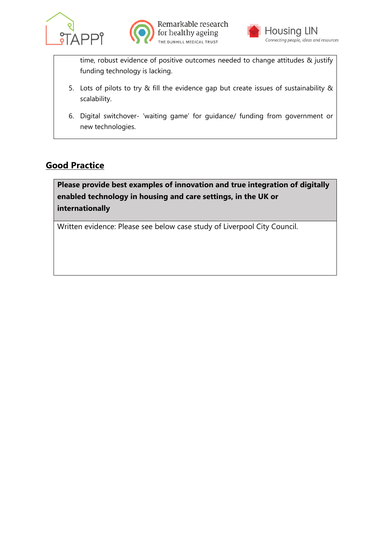





time, robust evidence of positive outcomes needed to change attitudes & justify funding technology is lacking.

- 5. Lots of pilots to try & fill the evidence gap but create issues of sustainability & scalability.
- 6. Digital switchover- 'waiting game' for guidance/ funding from government or new technologies.

# **Good Practice**

**Please provide best examples of innovation and true integration of digitally enabled technology in housing and care settings, in the UK or internationally**

Written evidence: Please see below case study of Liverpool City Council.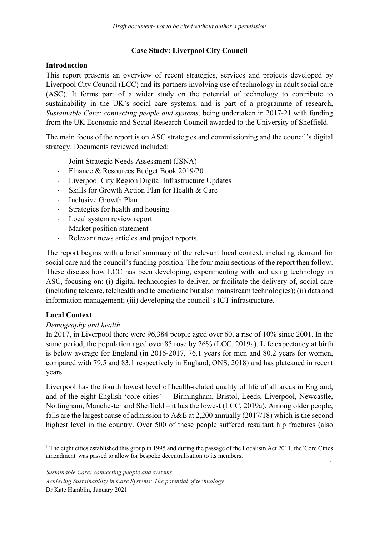# **Case Study: Liverpool City Council**

### **Introduction**

This report presents an overview of recent strategies, services and projects developed by Liverpool City Council (LCC) and its partners involving use of technology in adult social care (ASC). It forms part of a wider study on the potential of technology to contribute to sustainability in the UK's social care systems, and is part of a programme of research, *Sustainable Care: connecting people and systems,* being undertaken in 2017-21 with funding from the UK Economic and Social Research Council awarded to the University of Sheffield.

The main focus of the report is on ASC strategies and commissioning and the council's digital strategy. Documents reviewed included:

- Joint Strategic Needs Assessment (JSNA)
- Finance & Resources Budget Book 2019/20
- Liverpool City Region Digital Infrastructure Updates
- Skills for Growth Action Plan for Health & Care
- Inclusive Growth Plan
- Strategies for health and housing
- Local system review report
- Market position statement
- Relevant news articles and project reports.

The report begins with a brief summary of the relevant local context, including demand for social care and the council's funding position. The four main sections of the report then follow. These discuss how LCC has been developing, experimenting with and using technology in ASC, focusing on: (i) digital technologies to deliver, or facilitate the delivery of, social care (including telecare, telehealth and telemedicine but also mainstream technologies); (ii) data and information management; (iii) developing the council's ICT infrastructure.

# **Local Context**

# *Demography and health*

In 2017, in Liverpool there were 96,384 people aged over 60, a rise of 10% since 2001. In the same period, the population aged over 85 rose by 26% (LCC, 2019a). Life expectancy at birth is below average for England (in 2016-2017, 76.1 years for men and 80.2 years for women, compared with 79.5 and 83.1 respectively in England, ONS, 2018) and has plateaued in recent years.

Liverpool has the fourth lowest level of health-related quality of life of all areas in England, and of the eight English 'core cities'<sup>[1](#page-3-0)</sup> – Birmingham, Bristol, Leeds, Liverpool, Newcastle, Nottingham, Manchester and Sheffield – it has the lowest (LCC, 2019a). Among older people, falls are the largest cause of admission to A&E at 2,200 annually (2017/18) which is the second highest level in the country. Over 500 of these people suffered resultant hip fractures (also

<span id="page-3-0"></span><sup>&</sup>lt;sup>1</sup> The eight cities established this group in 1995 and during the passage of the Localism Act 2011, the 'Core Cities amendment' was passed to allow for bespoke decentralisation to its members.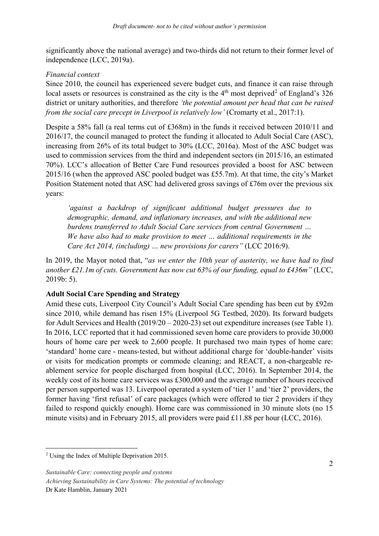significantly above the national average) and two-thirds did not return to their former level of independence (LCC, 2019a).

# *Financial context*

Since 2010, the council has experienced severe budget cuts, and finance it can raise through local assets or resources is constrained as the city is the  $4<sup>th</sup>$  most deprived<sup>[2](#page-4-0)</sup> of England's 326 district or unitary authorities, and therefore *'the potential amount per head that can be raised from the social care precept in Liverpool is relatively low'* (Cromarty et al., 2017:1).

Despite a 58% fall (a real terms cut of £368m) in the funds it received between 2010/11 and 2016/17, the council managed to protect the funding it allocated to Adult Social Care (ASC), increasing from 26% of its total budget to 30% (LCC, 2016a). Most of the ASC budget was used to commission services from the third and independent sectors (in 2015/16, an estimated 70%). LCC's allocation of Better Care Fund resources provided a boost for ASC between 2015/16 (when the approved ASC pooled budget was £55.7m). At that time, the city's Market Position Statement noted that ASC had delivered gross savings of £76m over the previous six years:

*'against a backdrop of significant additional budget pressures due to demographic, demand, and inflationary increases, and with the additional new burdens transferred to Adult Social Care services from central Government … We have also had to make provision to meet … additional requirements in the Care Act 2014, (including) … new provisions for carers"* (LCC 2016:9).

In 2019, the Mayor noted that, "*as we enter the 10th year of austerity, we have had to find another £21.1m of cuts. Government has now cut 63% of our funding, equal to £436m"* (LCC, 2019b: 5).

# **Adult Social Care Spending and Strategy**

Amid these cuts, Liverpool City Council's Adult Social Care spending has been cut by £92m since 2010, while demand has risen 15% (Liverpool 5G Testbed, 2020). Its forward budgets for Adult Services and Health (2019/20 – 2020-23) set out expenditure increases (see Table 1). In 2016, LCC reported that it had commissioned seven home care providers to provide 30,000 hours of home care per week to 2,600 people. It purchased two main types of home care: 'standard' home care - means-tested, but without additional charge for 'double-hander' visits or visits for medication prompts or commode cleaning; and REACT, a non-chargeable reablement service for people discharged from hospital (LCC, 2016). In September 2014, the weekly cost of its home care services was £300,000 and the average number of hours received per person supported was 13. Liverpool operated a system of 'tier 1' and 'tier 2' providers, the former having 'first refusal' of care packages (which were offered to tier 2 providers if they failed to respond quickly enough). Home care was commissioned in 30 minute slots (no 15 minute visits) and in February 2015, all providers were paid £11.88 per hour (LCC, 2016).

<span id="page-4-0"></span> <sup>2</sup> Using the Index of Multiple Deprivation 2015.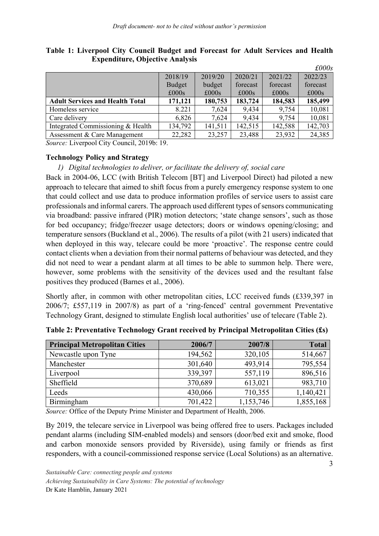|                                        |               |         |               |               | $\pounds000s$ |
|----------------------------------------|---------------|---------|---------------|---------------|---------------|
|                                        | 2018/19       | 2019/20 | 2020/21       | 2021/22       | 2022/23       |
|                                        | <b>Budget</b> | budget  | forecast      | forecast      | forecast      |
|                                        | £000s         | £000s   | $\pounds000s$ | $\pounds000s$ | £000s         |
| <b>Adult Services and Health Total</b> | 171,121       | 180,753 | 183,724       | 184,583       | 185,499       |
| Homeless service                       | 8.221         | 7,624   | 9,434         | 9,754         | 10,081        |
| Care delivery                          | 6,826         | 7,624   | 9,434         | 9,754         | 10,081        |
| Integrated Commissioning & Health      | 134,792       | 141,511 | 142,515       | 142,588       | 142,703       |
| Assessment & Care Management           | 22,282        | 23,257  | 23,488        | 23,932        | 24,385        |

**Table 1: Liverpool City Council Budget and Forecast for Adult Services and Health Expenditure, Objective Analysis**

*Source:* Liverpool City Council, 2019b: 19.

#### **Technology Policy and Strategy**

*1) Digital technologies to deliver, or facilitate the delivery of, social care*

Back in 2004-06, LCC (with British Telecom [BT] and Liverpool Direct) had piloted a new approach to telecare that aimed to shift focus from a purely emergency response system to one that could collect and use data to produce information profiles of service users to assist care professionals and informal carers. The approach used different types of sensors communicating via broadband: passive infrared (PIR) motion detectors; 'state change sensors', such as those for bed occupancy; fridge/freezer usage detectors; doors or windows opening/closing; and temperature sensors (Buckland et al., 2006). The results of a pilot (with 21 users) indicated that when deployed in this way, telecare could be more 'proactive'. The response centre could contact clients when a deviation from their normal patterns of behaviour was detected, and they did not need to wear a pendant alarm at all times to be able to summon help. There were, however, some problems with the sensitivity of the devices used and the resultant false positives they produced (Barnes et al., 2006).

Shortly after, in common with other metropolitan cities, LCC received funds (£339,397 in 2006/7; £557,119 in 2007/8) as part of a 'ring-fenced' central government Preventative Technology Grant, designed to stimulate English local authorities' use of telecare (Table 2).

| <b>Principal Metropolitan Cities</b> | 2006/7  | 2007/8    | <b>Total</b> |
|--------------------------------------|---------|-----------|--------------|
| Newcastle upon Tyne                  | 194,562 | 320,105   | 514,667      |
| Manchester                           | 301,640 | 493,914   | 795,554      |
| Liverpool                            | 339,397 | 557,119   | 896,516      |
| Sheffield                            | 370,689 | 613,021   | 983,710      |
| Leeds                                | 430,066 | 710,355   | 1,140,421    |
| Birmingham                           | 701,422 | 1,153,746 | 1,855,168    |

**Table 2: Preventative Technology Grant received by Principal Metropolitan Cities (£s)**

*Source:* Office of the Deputy Prime Minister and Department of Health, 2006.

By 2019, the telecare service in Liverpool was being offered free to users. Packages included pendant alarms (including SIM-enabled models) and sensors (door/bed exit and smoke, flood and carbon monoxide sensors provided by Riverside), using family or friends as first responders, with a council-commissioned response service (Local Solutions) as an alternative.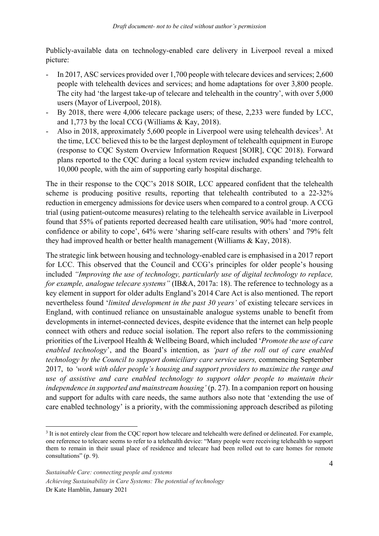Publicly-available data on technology-enabled care delivery in Liverpool reveal a mixed picture:

- In 2017, ASC services provided over 1,700 people with telecare devices and services; 2,600 people with telehealth devices and services; and home adaptations for over 3,800 people. The city had 'the largest take-up of telecare and telehealth in the country', with over 5,000 users (Mayor of Liverpool, 2018).
- By 2018, there were 4,006 telecare package users; of these, 2,233 were funded by LCC, and 1,773 by the local CCG (Williams & Kay, 2018).
- Also in 2018, approximately 5,600 people in Liverpool were using telehealth devices<sup>[3](#page-6-0)</sup>. At the time, LCC believed this to be the largest deployment of telehealth equipment in Europe (response to CQC System Overview Information Request [SOIR], CQC 2018). Forward plans reported to the CQC during a local system review included expanding telehealth to 10,000 people, with the aim of supporting early hospital discharge.

The in their response to the CQC's 2018 SOIR, LCC appeared confident that the telehealth scheme is producing positive results, reporting that telehealth contributed to a 22-32% reduction in emergency admissions for device users when compared to a control group. A CCG trial (using patient-outcome measures) relating to the telehealth service available in Liverpool found that 55% of patients reported decreased health care utilisation, 90% had 'more control, confidence or ability to cope', 64% were 'sharing self-care results with others' and 79% felt they had improved health or better health management (Williams & Kay, 2018).

The strategic link between housing and technology-enabled care is emphasised in a 2017 report for LCC. This observed that the Council and CCG's principles for older people's housing included *"Improving the use of technology, particularly use of digital technology to replace, for example, analogue telecare systems"* (IB&A, 2017a: 18). The reference to technology as a key element in support for older adults England's 2014 Care Act is also mentioned. The report nevertheless found '*limited development in the past 30 years'* of existing telecare services in England, with continued reliance on unsustainable analogue systems unable to benefit from developments in internet-connected devices, despite evidence that the internet can help people connect with others and reduce social isolation. The report also refers to the commissioning priorities of the Liverpool Health & Wellbeing Board, which included '*Promote the use of care enabled technology*', and the Board's intention, as *'part of the roll out of care enabled technology by the Council to support domiciliary care service users,* commencing September 2017, to *'work with older people's housing and support providers to maximize the range and use of assistive and care enabled technology to support older people to maintain their independence in supported and mainstream housing'* (p. 27). In a companion report on housing and support for adults with care needs, the same authors also note that 'extending the use of care enabled technology' is a priority, with the commissioning approach described as piloting

<span id="page-6-0"></span><sup>&</sup>lt;sup>3</sup> It is not entirely clear from the CQC report how telecare and telehealth were defined or delineated. For example, one reference to telecare seems to refer to a telehealth device: "Many people were receiving telehealth to support them to remain in their usual place of residence and telecare had been rolled out to care homes for remote consultations" (p. 9).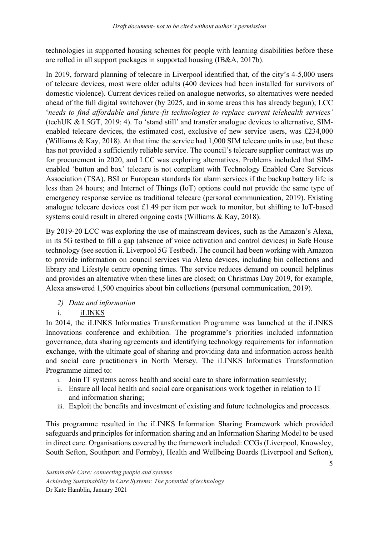technologies in supported housing schemes for people with learning disabilities before these are rolled in all support packages in supported housing (IB&A, 2017b).

In 2019, forward planning of telecare in Liverpool identified that, of the city's 4-5,000 users of telecare devices, most were older adults (400 devices had been installed for survivors of domestic violence). Current devices relied on analogue networks, so alternatives were needed ahead of the full digital switchover (by 2025, and in some areas this has already begun); LCC '*needs to find affordable and future-fit technologies to replace current telehealth services'* (techUK & L5GT, 2019: 4). To 'stand still' and transfer analogue devices to alternative, SIMenabled telecare devices, the estimated cost, exclusive of new service users, was £234,000 (Williams & Kay, 2018). At that time the service had 1,000 SIM telecare units in use, but these has not provided a sufficiently reliable service. The council's telecare supplier contract was up for procurement in 2020, and LCC was exploring alternatives. Problems included that SIMenabled 'button and box' telecare is not compliant with Technology Enabled Care Services Association (TSA), BSI or European standards for alarm services if the backup battery life is less than 24 hours; and Internet of Things (IoT) options could not provide the same type of emergency response service as traditional telecare (personal communication, 2019). Existing analogue telecare devices cost £1.49 per item per week to monitor, but shifting to IoT-based systems could result in altered ongoing costs (Williams & Kay, 2018).

By 2019-20 LCC was exploring the use of mainstream devices, such as the Amazon's Alexa, in its 5G testbed to fill a gap (absence of voice activation and control devices) in Safe House technology (see section ii. Liverpool 5G Testbed). The council had been working with Amazon to provide information on council services via Alexa devices, including bin collections and library and Lifestyle centre opening times. The service reduces demand on council helplines and provides an alternative when these lines are closed; on Christmas Day 2019, for example, Alexa answered 1,500 enquiries about bin collections (personal communication, 2019).

- *2) Data and information*
- i. iLINKS

In 2014, the iLINKS Informatics Transformation Programme was launched at the iLINKS Innovations conference and exhibition. The programme's priorities included information governance, data sharing agreements and identifying technology requirements for information exchange, with the ultimate goal of sharing and providing data and information across health and social care practitioners in North Mersey. The iLINKS Informatics Transformation Programme aimed to:

- i. Join IT systems across health and social care to share information seamlessly;
- ii. Ensure all local health and social care organisations work together in relation to IT and information sharing;
- iii. Exploit the benefits and investment of existing and future technologies and processes.

This programme resulted in the iLINKS Information Sharing Framework which provided safeguards and principles for information sharing and an Information Sharing Model to be used in direct care. Organisations covered by the framework included: CCGs (Liverpool, Knowsley, South Sefton, Southport and Formby), Health and Wellbeing Boards (Liverpool and Sefton),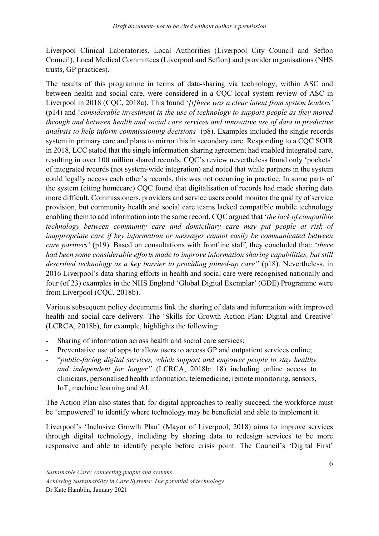Liverpool Clinical Laboratories, Local Authorities (Liverpool City Council and Sefton Council), Local Medical Committees (Liverpool and Sefton) and provider organisations (NHS trusts, GP practices).

The results of this programme in terms of data-sharing via technology, within ASC and between health and social care, were considered in a CQC local system review of ASC in Liverpool in 2018 (CQC, 2018a). This found '*[t]here was a clear intent from system leaders'* (p14) and '*considerable investment in the use of technology to support people as they moved through and between health and social care services and innovative use of data in predictive analysis to help inform commissioning decisions'* (p8). Examples included the single records system in primary care and plans to mirror this in secondary care. Responding to a CQC SOIR in 2018, LCC stated that the single information sharing agreement had enabled integrated care, resulting in over 100 million shared records. CQC's review nevertheless found only 'pockets' of integrated records (not system-wide integration) and noted that while partners in the system could legally access each other's records, this was not occurring in practice. In some parts of the system (citing homecare) CQC found that digitalisation of records had made sharing data more difficult. Commissioners, providers and service users could monitor the quality of service provision, but community health and social care teams lacked compatible mobile technology enabling them to add information into the same record. CQC argued that '*the lack of compatible technology between community care and domiciliary care may put people at risk of inappropriate care if key information or messages cannot easily be communicated between care partners'* (p19). Based on consultations with frontline staff, they concluded that: '*there had been some considerable efforts made to improve information sharing capabilities, but still described technology as a key barrier to providing joined-up care"* (p18). Nevertheless, in 2016 Liverpool's data sharing efforts in health and social care were recognised nationally and four (of 23) examples in the NHS England 'Global Digital Exemplar' (GDE) Programme were from Liverpool (CQC, 2018b).

Various subsequent policy documents link the sharing of data and information with improved health and social care delivery. The 'Skills for Growth Action Plan: Digital and Creative' (LCRCA, 2018b), for example, highlights the following:

- Sharing of information across health and social care services;
- Preventative use of apps to allow users to access GP and outpatient services online;
- "*public-facing digital services, which support and empower people to stay healthy and independent for longer"* (LCRCA, 2018b: 18) including online access to clinicians, personalised health information, telemedicine, remote monitoring, sensors, IoT, machine learning and AI.

The Action Plan also states that, for digital approaches to really succeed, the workforce must be 'empowered' to identify where technology may be beneficial and able to implement it.

Liverpool's 'Inclusive Growth Plan' (Mayor of Liverpool, 2018) aims to improve services through digital technology, including by sharing data to redesign services to be more responsive and able to identify people before crisis point. The Council's 'Digital First'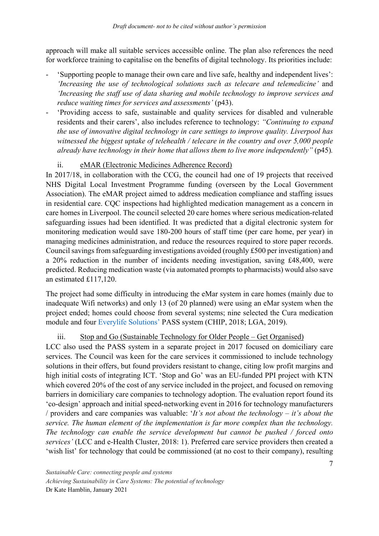approach will make all suitable services accessible online. The plan also references the need for workforce training to capitalise on the benefits of digital technology. Its priorities include:

- 'Supporting people to manage their own care and live safe, healthy and independent lives': *'Increasing the use of technological solutions such as telecare and telemedicine'* and *'Increasing the staff use of data sharing and mobile technology to improve services and reduce waiting times for services and assessments'* (p43).
- 'Providing access to safe, sustainable and quality services for disabled and vulnerable residents and their carers', also includes reference to technology: *"Continuing to expand the use of innovative digital technology in care settings to improve quality. Liverpool has witnessed the biggest uptake of telehealth / telecare in the country and over 5,000 people already have technology in their home that allows them to live more independently"* (p45)*.*

# ii. eMAR (Electronic Medicines Adherence Record)

In 2017/18, in collaboration with the CCG, the council had one of 19 projects that received NHS Digital Local Investment Programme funding (overseen by the Local Government Association). The eMAR project aimed to address medication compliance and staffing issues in residential care. CQC inspections had highlighted medication management as a concern in care homes in Liverpool. The council selected 20 care homes where serious medication-related safeguarding issues had been identified. It was predicted that a digital electronic system for monitoring medication would save 180-200 hours of staff time (per care home, per year) in managing medicines administration, and reduce the resources required to store paper records. Council savings from safeguarding investigations avoided (roughly £500 per investigation) and a 20% reduction in the number of incidents needing investigation, saving £48,400, were predicted. Reducing medication waste (via automated prompts to pharmacists) would also save an estimated £117,120.

The project had some difficulty in introducing the eMar system in care homes (mainly due to inadequate Wifi networks) and only 13 (of 20 planned) were using an eMar system when the project ended; homes could choose from several systems; nine selected the Cura medication module and four [Everylife Solutions'](https://www.everylifetechnologies.com/) PASS system (CHIP, 2018; LGA, 2019).

# iii. Stop and Go (Sustainable Technology for Older People – Get Organised)

LCC also used the PASS system in a separate project in 2017 focused on domiciliary care services. The Council was keen for the care services it commissioned to include technology solutions in their offers, but found providers resistant to change, citing low profit margins and high initial costs of integrating ICT. 'Stop and Go' was an EU-funded PPI project with KTN which covered 20% of the cost of any service included in the project, and focused on removing barriers in domiciliary care companies to technology adoption. The evaluation report found its 'co-design' approach and initial speed-networking event in 2016 for technology manufacturers / providers and care companies was valuable: '*It's not about the technology – it's about the service. The human element of the implementation is far more complex than the technology. The technology can enable the service development but cannot be pushed / forced onto services'* (LCC and e-Health Cluster, 2018: 1). Preferred care service providers then created a 'wish list' for technology that could be commissioned (at no cost to their company), resulting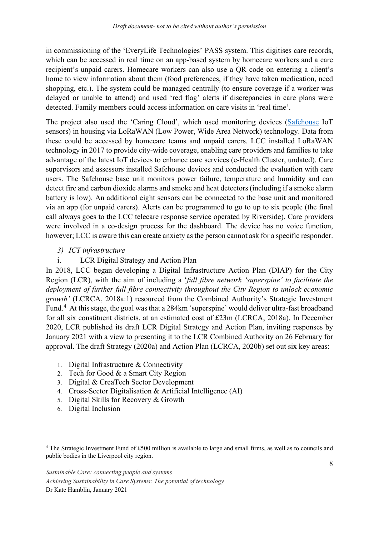in commissioning of the 'EveryLife Technologies' PASS system. This digitises care records, which can be accessed in real time on an app-based system by homecare workers and a care recipient's unpaid carers. Homecare workers can also use a QR code on entering a client's home to view information about them (food preferences, if they have taken medication, need shopping, etc.). The system could be managed centrally (to ensure coverage if a worker was delayed or unable to attend) and used 'red flag' alerts if discrepancies in care plans were detected. Family members could access information on care visits in 'real time'.

The project also used the 'Caring Cloud', which used monitoring devices [\(Safehouse](https://www.safehouse.technology/) IoT sensors) in housing via LoRaWAN (Low Power, Wide Area Network) technology. Data from these could be accessed by homecare teams and unpaid carers. LCC installed LoRaWAN technology in 2017 to provide city-wide coverage, enabling care providers and families to take advantage of the latest IoT devices to enhance care services (e-Health Cluster, undated). Care supervisors and assessors installed Safehouse devices and conducted the evaluation with care users. The Safehouse base unit monitors power failure, temperature and humidity and can detect fire and carbon dioxide alarms and smoke and heat detectors (including if a smoke alarm battery is low). An additional eight sensors can be connected to the base unit and monitored via an app (for unpaid carers). Alerts can be programmed to go to up to six people (the final call always goes to the LCC telecare response service operated by Riverside). Care providers were involved in a co-design process for the dashboard. The device has no voice function, however; LCC is aware this can create anxiety as the person cannot ask for a specific responder.

# *3) ICT infrastructure*

# i. LCR Digital Strategy and Action Plan

In 2018, LCC began developing a Digital Infrastructure Action Plan (DIAP) for the City Region (LCR), with the aim of including a '*full fibre network 'superspine' to facilitate the deployment of further full fibre connectivity throughout the City Region to unlock economic growth'* (LCRCA, 2018a:1) resourced from the Combined Authority's Strategic Investment Fund.<sup>[4](#page-10-0)</sup> At this stage, the goal was that a 284km 'superspine' would deliver ultra-fast broadband for all six constituent districts, at an estimated cost of £23m (LCRCA, 2018a). In December 2020, LCR published its draft LCR Digital Strategy and Action Plan, inviting responses by January 2021 with a view to presenting it to the LCR Combined Authority on 26 February for approval. The draft Strategy (2020a) and Action Plan (LCRCA, 2020b) set out six key areas:

- 1. Digital Infrastructure & Connectivity
- 2. Tech for Good & a Smart City Region
- 3. Digital & CreaTech Sector Development
- 4. Cross-Sector Digitalisation & Artificial Intelligence (AI)
- 5. Digital Skills for Recovery & Growth
- 6. Digital Inclusion

<span id="page-10-0"></span> <sup>4</sup> The Strategic Investment Fund of £500 million is available to large and small firms, as well as to councils and public bodies in the Liverpool city region.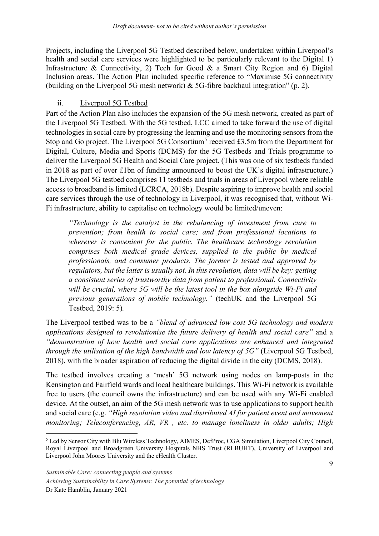Projects, including the Liverpool 5G Testbed described below, undertaken within Liverpool's health and social care services were highlighted to be particularly relevant to the Digital 1) Infrastructure & Connectivity, 2) Tech for Good & a Smart City Region and 6) Digital Inclusion areas. The Action Plan included specific reference to "Maximise 5G connectivity (building on the Liverpool 5G mesh network) & 5G-fibre backhaul integration" (p. 2).

### ii. Liverpool 5G Testbed

Part of the Action Plan also includes the expansion of the 5G mesh network, created as part of the Liverpool 5G Testbed. With the 5G testbed, LCC aimed to take forward the use of digital technologies in social care by progressing the learning and use the monitoring sensors from the Stop and Go project. The Liverpool [5](#page-11-0)G Consortium<sup>5</sup> received £3.5m from the Department for Digital, Culture, Media and Sports (DCMS) for the 5G Testbeds and Trials programme to deliver the Liverpool 5G Health and Social Care project. (This was one of six testbeds funded in 2018 as part of over £1bn of funding announced to boost the UK's digital infrastructure.) The Liverpool 5G testbed comprises 11 testbeds and trials in areas of Liverpool where reliable access to broadband is limited (LCRCA, 2018b). Despite aspiring to improve health and social care services through the use of technology in Liverpool, it was recognised that, without Wi-Fi infrastructure, ability to capitalise on technology would be limited/uneven:

*"Technology is the catalyst in the rebalancing of investment from cure to prevention; from health to social care; and from professional locations to wherever is convenient for the public. The healthcare technology revolution comprises both medical grade devices, supplied to the public by medical professionals, and consumer products. The former is tested and approved by regulators, but the latter is usually not. In this revolution, data will be key: getting a consistent series of trustworthy data from patient to professional. Connectivity will be crucial, where 5G will be the latest tool in the box alongside Wi-Fi and previous generations of mobile technology."* (techUK and the Liverpool 5G Testbed, 2019: 5)*.* 

The Liverpool testbed was to be a *"blend of advanced low cost 5G technology and modern applications designed to revolutionise the future delivery of health and social care"* and a *"demonstration of how health and social care applications are enhanced and integrated through the utilisation of the high bandwidth and low latency of 5G"* (Liverpool 5G Testbed, 2018), with the broader aspiration of reducing the digital divide in the city (DCMS, 2018).

The testbed involves creating a 'mesh' 5G network using nodes on lamp-posts in the Kensington and Fairfield wards and local healthcare buildings. This Wi-Fi network is available free to users (the council owns the infrastructure) and can be used with any Wi-Fi enabled device. At the outset, an aim of the 5G mesh network was to use applications to support health and social care (e.g. *"High resolution video and distributed AI for patient event and movement monitoring; Teleconferencing, AR, VR , etc. to manage loneliness in older adults; High* 

<span id="page-11-0"></span><sup>&</sup>lt;sup>5</sup> Led by Sensor City with Blu Wireless Technology, AIMES, DefProc, CGA Simulation, Liverpool City Council, Royal Liverpool and Broadgreen University Hospitals NHS Trust (RLBUHT), University of Liverpool and Liverpool John Moores University and the eHealth Cluster.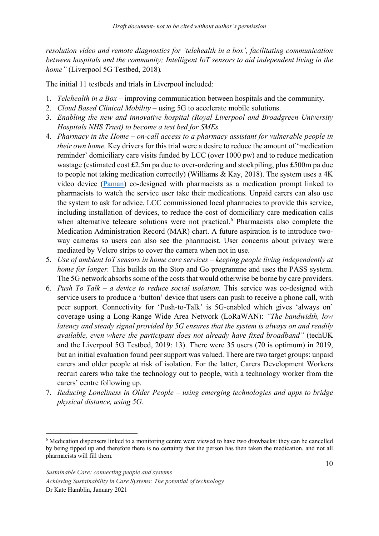*resolution video and remote diagnostics for 'telehealth in a box', facilitating communication between hospitals and the community; Intelligent IoT sensors to aid independent living in the home"* (Liverpool 5G Testbed, 2018)*.*

The initial 11 testbeds and trials in Liverpool included:

- 1. *Telehealth in a Box*  improving communication between hospitals and the community*.*
- 2. *Cloud Based Clinical Mobility*  using 5G to accelerate mobile solutions.
- 3. *Enabling the new and innovative hospital (Royal Liverpool and Broadgreen University Hospitals NHS Trust) to become a test bed for SMEs.*
- 4. *Pharmacy in the Home – on-call access to a pharmacy assistant for vulnerable people in their own home.* Key drivers for this trial were a desire to reduce the amount of 'medication reminder' domiciliary care visits funded by LCC (over 1000 pw) and to reduce medication wastage (estimated cost £2.5m pa due to over-ordering and stockpiling, plus £500m pa due to people not taking medication correctly) (Williams & Kay, 2018). The system uses a 4K video device [\(Paman\)](https://paman.org.uk/home/) co-designed with pharmacists as a medication prompt linked to pharmacists to watch the service user take their medications. Unpaid carers can also use the system to ask for advice. LCC commissioned local pharmacies to provide this service, including installation of devices, to reduce the cost of domiciliary care medication calls when alternative telecare solutions were not practical.<sup>[6](#page-12-0)</sup> Pharmacists also complete the Medication Administration Record (MAR) chart. A future aspiration is to introduce twoway cameras so users can also see the pharmacist. User concerns about privacy were mediated by Velcro strips to cover the camera when not in use.
- 5. *Use of ambient IoT sensors in home care services – keeping people living independently at home for longer*. This builds on the Stop and Go programme and uses the PASS system. The 5G network absorbs some of the costs that would otherwise be borne by care providers.
- 6. *Push To Talk – a device to reduce social isolation.* This service was co-designed with service users to produce a 'button' device that users can push to receive a phone call, with peer support. Connectivity for 'Push-to-Talk' is 5G-enabled which gives 'always on' coverage using a Long-Range Wide Area Network (LoRaWAN): *"The bandwidth, low latency and steady signal provided by 5G ensures that the system is always on and readily available, even where the participant does not already have fixed broadband"* (techUK and the Liverpool 5G Testbed, 2019: 13). There were 35 users (70 is optimum) in 2019, but an initial evaluation found peer support was valued. There are two target groups: unpaid carers and older people at risk of isolation. For the latter, Carers Development Workers recruit carers who take the technology out to people, with a technology worker from the carers' centre following up.
- 7. *Reducing Loneliness in Older People – using emerging technologies and apps to bridge physical distance, using 5G.*

<span id="page-12-0"></span> <sup>6</sup> Medication dispensers linked to a monitoring centre were viewed to have two drawbacks: they can be cancelled by being tipped up and therefore there is no certainty that the person has then taken the medication, and not all pharmacists will fill them.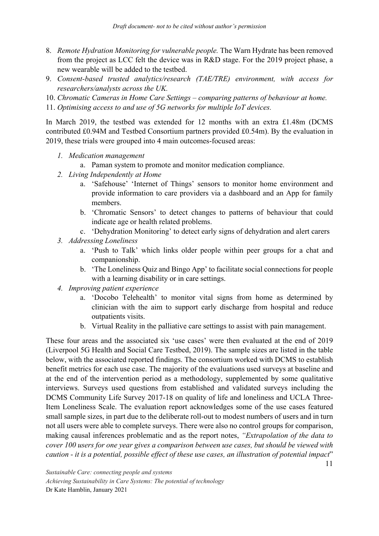- 8. *Remote Hydration Monitoring for vulnerable people.* The Warn Hydrate has been removed from the project as LCC felt the device was in R&D stage. For the 2019 project phase, a new wearable will be added to the testbed.
- 9. *Consent-based trusted analytics/research (TAE/TRE) environment, with access for researchers/analysts across the UK.*
- 10. *Chromatic Cameras in Home Care Settings – comparing patterns of behaviour at home.*
- 11. *Optimising access to and use of 5G networks for multiple IoT devices.*

In March 2019, the testbed was extended for 12 months with an extra £1.48m (DCMS contributed £0.94M and Testbed Consortium partners provided £0.54m). By the evaluation in 2019, these trials were grouped into 4 main outcomes-focused areas:

- *1. Medication management*
	- a. Paman system to promote and monitor medication compliance.
- *2. Living Independently at Home*
	- a. 'Safehouse' 'Internet of Things' sensors to monitor home environment and provide information to care providers via a dashboard and an App for family members.
	- b. 'Chromatic Sensors' to detect changes to patterns of behaviour that could indicate age or health related problems.
	- c. 'Dehydration Monitoring' to detect early signs of dehydration and alert carers
- *3. Addressing Loneliness*
	- a. 'Push to Talk' which links older people within peer groups for a chat and companionship.
	- b. 'The Loneliness Quiz and Bingo App' to facilitate social connections for people with a learning disability or in care settings.
- *4. Improving patient experience*
	- a. 'Docobo Telehealth' to monitor vital signs from home as determined by clinician with the aim to support early discharge from hospital and reduce outpatients visits.
	- b. Virtual Reality in the palliative care settings to assist with pain management.

These four areas and the associated six 'use cases' were then evaluated at the end of 2019 (Liverpool 5G Health and Social Care Testbed, 2019). The sample sizes are listed in the table below, with the associated reported findings. The consortium worked with DCMS to establish benefit metrics for each use case. The majority of the evaluations used surveys at baseline and at the end of the intervention period as a methodology, supplemented by some qualitative interviews. Surveys used questions from established and validated surveys including the DCMS Community Life Survey 2017-18 on quality of life and loneliness and UCLA Three-Item Loneliness Scale. The evaluation report acknowledges some of the use cases featured small sample sizes, in part due to the deliberate roll-out to modest numbers of users and in turn not all users were able to complete surveys. There were also no control groups for comparison, making causal inferences problematic and as the report notes, *"Extrapolation of the data to cover 100 users for one year gives a comparison between use cases, but should be viewed with caution - it is a potential, possible effect of these use cases, an illustration of potential impact*"

*Sustainable Care: connecting people and systems Achieving Sustainability in Care Systems: The potential of technology* Dr Kate Hamblin, January 2021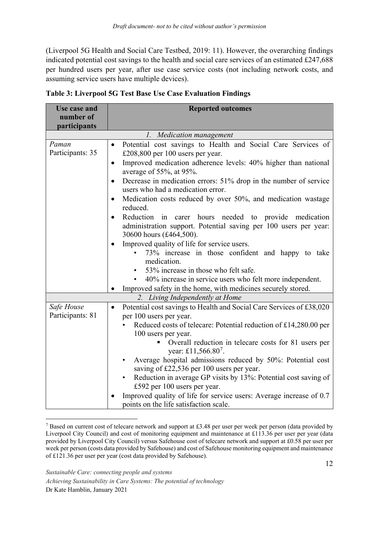(Liverpool 5G Health and Social Care Testbed, 2019: 11). However, the overarching findings indicated potential cost savings to the health and social care services of an estimated £247,688 per hundred users per year, after use case service costs (not including network costs, and assuming service users have multiple devices).

| <b>Use case and</b><br>number of | <b>Reported outcomes</b>                                                                                                                                                                                                                                                                                                                                                                                                                                                                                                                                                                                                                                                                                                       |  |  |  |
|----------------------------------|--------------------------------------------------------------------------------------------------------------------------------------------------------------------------------------------------------------------------------------------------------------------------------------------------------------------------------------------------------------------------------------------------------------------------------------------------------------------------------------------------------------------------------------------------------------------------------------------------------------------------------------------------------------------------------------------------------------------------------|--|--|--|
| participants                     |                                                                                                                                                                                                                                                                                                                                                                                                                                                                                                                                                                                                                                                                                                                                |  |  |  |
| 1. Medication management         |                                                                                                                                                                                                                                                                                                                                                                                                                                                                                                                                                                                                                                                                                                                                |  |  |  |
| Paman<br>Participants: 35        | Potential cost savings to Health and Social Care Services of<br>$\bullet$<br>£208,800 per 100 users per year.<br>Improved medication adherence levels: 40% higher than national<br>$\bullet$<br>average of 55%, at 95%.<br>Decrease in medication errors: 51% drop in the number of service<br>$\bullet$<br>users who had a medication error.<br>Medication costs reduced by over 50%, and medication wastage<br>$\bullet$<br>reduced.<br>Reduction in carer hours needed to provide medication<br>$\bullet$<br>administration support. Potential saving per 100 users per year:<br>30600 hours (£464,500).<br>Improved quality of life for service users.<br>73% increase in those confident and happy to take<br>medication. |  |  |  |
|                                  | • 53% increase in those who felt safe.<br>40% increase in service users who felt more independent.<br>$\bullet$                                                                                                                                                                                                                                                                                                                                                                                                                                                                                                                                                                                                                |  |  |  |
|                                  | Improved safety in the home, with medicines securely stored.                                                                                                                                                                                                                                                                                                                                                                                                                                                                                                                                                                                                                                                                   |  |  |  |
| 2. Living Independently at Home  |                                                                                                                                                                                                                                                                                                                                                                                                                                                                                                                                                                                                                                                                                                                                |  |  |  |
| Safe House<br>Participants: 81   | Potential cost savings to Health and Social Care Services of £38,020<br>$\bullet$<br>per 100 users per year.<br>Reduced costs of telecare: Potential reduction of £14,280.00 per<br>100 users per year.<br>Overall reduction in telecare costs for 81 users per<br>year: £11,566.80 <sup>7</sup> .<br>Average hospital admissions reduced by 50%: Potential cost<br>$\bullet$<br>saving of £22,536 per 100 users per year.<br>Reduction in average GP visits by 13%: Potential cost saving of<br>$\bullet$<br>£592 per 100 users per year.<br>Improved quality of life for service users: Average increase of 0.7<br>points on the life satisfaction scale.                                                                    |  |  |  |

**Table 3: Liverpool 5G Test Base Use Case Evaluation Findings**

<span id="page-14-0"></span> <sup>7</sup> Based on current cost of telecare network and support at £3.48 per user per week per person (data provided by Liverpool City Council) and cost of monitoring equipment and maintenance at £113.36 per user per year (data provided by Liverpool City Council) versus Safehouse cost of telecare network and support at £0.58 per user per week per person (costs data provided by Safehouse) and cost of Safehouse monitoring equipment and maintenance of £121.36 per user per year (cost data provided by Safehouse).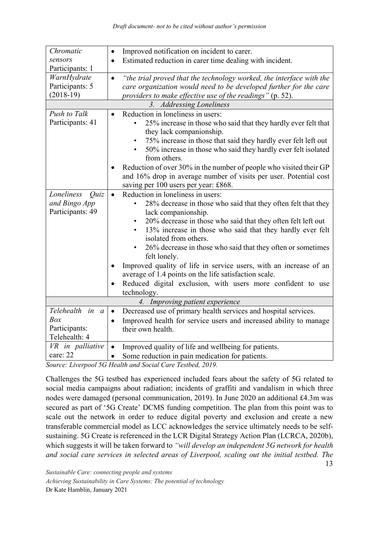| Chromatic                       | Improved notification on incident to carer.<br>$\bullet$                          |  |  |
|---------------------------------|-----------------------------------------------------------------------------------|--|--|
| sensors                         | Estimated reduction in carer time dealing with incident.<br>$\bullet$             |  |  |
| Participants: 1                 |                                                                                   |  |  |
|                                 |                                                                                   |  |  |
| WarnHydrate                     | "the trial proved that the technology worked, the interface with the<br>$\bullet$ |  |  |
| Participants: 5                 | care organization would need to be developed further for the care                 |  |  |
| $(2018-19)$                     | providers to make effective use of the readings" (p. 52).                         |  |  |
| 3. Addressing Loneliness        |                                                                                   |  |  |
| Push to Talk                    | Reduction in loneliness in users:<br>$\bullet$                                    |  |  |
| Participants: 41                | 25% increase in those who said that they hardly ever felt that                    |  |  |
|                                 | they lack companionship.                                                          |  |  |
|                                 | 75% increase in those that said they hardly ever felt left out                    |  |  |
|                                 | 50% increase in those who said they hardly ever felt isolated                     |  |  |
|                                 | from others.                                                                      |  |  |
|                                 | Reduction of over 30% in the number of people who visited their GP                |  |  |
|                                 | and 16% drop in average number of visits per user. Potential cost                 |  |  |
|                                 | saving per 100 users per year: £868.                                              |  |  |
| Loneliness                      | Reduction in loneliness in users:                                                 |  |  |
| Quiz                            | $\bullet$                                                                         |  |  |
| and Bingo App                   | 28% decrease in those who said that they often felt that they                     |  |  |
| Participants: 49                | lack companionship.                                                               |  |  |
|                                 | 20% decrease in those who said that they often felt left out<br>$\bullet$         |  |  |
|                                 | 13% increase in those who said that they hardly ever felt<br>$\bullet$            |  |  |
|                                 | isolated from others.                                                             |  |  |
|                                 | 26% decrease in those who said that they often or sometimes                       |  |  |
|                                 | felt lonely.                                                                      |  |  |
|                                 | Improved quality of life in service users, with an increase of an                 |  |  |
|                                 | average of 1.4 points on the life satisfaction scale.                             |  |  |
|                                 | Reduced digital exclusion, with users more confident to use<br>$\bullet$          |  |  |
|                                 | technology.                                                                       |  |  |
| 4. Improving patient experience |                                                                                   |  |  |
| Telehealth in a                 | Decreased use of primary health services and hospital services.<br>$\bullet$      |  |  |
| Box                             | Improved health for service users and increased ability to manage<br>$\bullet$    |  |  |
| Participants:                   | their own health.                                                                 |  |  |
| Telehealth: 4                   |                                                                                   |  |  |
| VR in palliative                | Improved quality of life and wellbeing for patients.<br>$\bullet$                 |  |  |
|                                 |                                                                                   |  |  |
| care: 22                        | Some reduction in pain medication for patients.<br>$\bullet$                      |  |  |

*Source: Liverpool 5G Health and Social Care Testbed, 2019.* 

13 Challenges the 5G testbed has experienced included fears about the safety of 5G related to social media campaigns about radiation; incidents of graffiti and vandalism in which three nodes were damaged (personal communication, 2019). In June 2020 an additional £4.3m was secured as part of '5G Create' DCMS funding competition. The plan from this point was to scale out the network in order to reduce digital poverty and exclusion and create a new transferable commercial model as LCC acknowledges the service ultimately needs to be selfsustaining. 5G Create is referenced in the LCR Digital Strategy Action Plan (LCRCA, 2020b), which suggests it will be taken forward to *"will develop an independent 5G network for health and social care services in selected areas of Liverpool, scaling out the initial testbed. The* 

*Sustainable Care: connecting people and systems Achieving Sustainability in Care Systems: The potential of technology* Dr Kate Hamblin, January 2021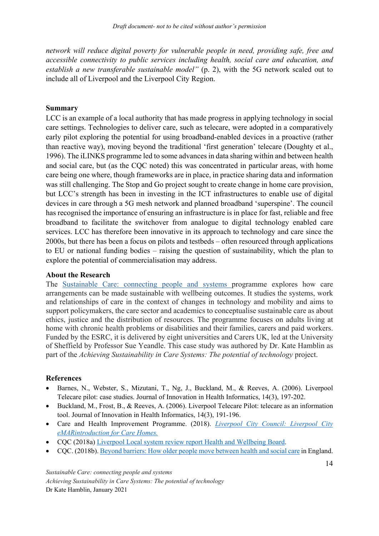*network will reduce digital poverty for vulnerable people in need, providing safe, free and accessible connectivity to public services including health, social care and education, and establish a new transferable sustainable model"* (p. 2), with the 5G network scaled out to include all of Liverpool and the Liverpool City Region.

#### **Summary**

LCC is an example of a local authority that has made progress in applying technology in social care settings. Technologies to deliver care, such as telecare, were adopted in a comparatively early pilot exploring the potential for using broadband-enabled devices in a proactive (rather than reactive way), moving beyond the traditional 'first generation' telecare (Doughty et al., 1996). The iLINKS programme led to some advances in data sharing within and between health and social care, but (as the CQC noted) this was concentrated in particular areas, with home care being one where, though frameworks are in place, in practice sharing data and information was still challenging. The Stop and Go project sought to create change in home care provision, but LCC's strength has been in investing in the ICT infrastructures to enable use of digital devices in care through a 5G mesh network and planned broadband 'superspine'. The council has recognised the importance of ensuring an infrastructure is in place for fast, reliable and free broadband to facilitate the switchover from analogue to digital technology enabled care services. LCC has therefore been innovative in its approach to technology and care since the 2000s, but there has been a focus on pilots and testbeds – often resourced through applications to EU or national funding bodies – raising the question of sustainability, which the plan to explore the potential of commercialisation may address.

#### **About the Research**

The Sustainable Care: connecting people and systems programme explores how care arrangements can be made sustainable with wellbeing outcomes. It studies the systems, work and relationships of care in the context of changes in technology and mobility and aims to support policymakers, the care sector and academics to conceptualise sustainable care as about ethics, justice and the distribution of resources. The programme focuses on adults living at home with chronic health problems or disabilities and their families, carers and paid workers. Funded by the ESRC, it is delivered by eight universities and Carers UK, led at the University of Sheffield by Professor Sue Yeandle. This case study was authored by Dr. Kate Hamblin as part of the *Achieving Sustainability in Care Systems: The potential of technology* project.

#### **References**

- Barnes, N., Webster, S., Mizutani, T., Ng, J., Buckland, M., & Reeves, A. (2006). Liverpool Telecare pilot: case studies. Journal of Innovation in Health Informatics, 14(3), 197-202.
- Buckland, M., Frost, B., & Reeves, A. (2006). Liverpool Telecare Pilot: telecare as an information tool. Journal of Innovation in Health Informatics, 14(3), 191-196.
- Care and Health Improvement Programme. (2018). *[Liverpool City Council: Liverpool City](https://www.local.gov.uk/sites/default/files/documents/Liverpool%20LIP%20Case%20Study%20-%20Case%20Study.pdf)  [eMARintroduction for Care Homes.](https://www.local.gov.uk/sites/default/files/documents/Liverpool%20LIP%20Case%20Study%20-%20Case%20Study.pdf)*
- CQC (2018a) [Liverpool Local system review report Health](https://www.cqc.org.uk/sites/default/files/20180430_local_system_review_liverpool.pdf) and Wellbeing Board.
- CQC. (2018b)[. Beyond barriers: How older people move between health and social care](https://www.cqc.org.uk/sites/default/files/20180702_beyond_barriers.pdf) in England.

*Sustainable Care: connecting people and systems Achieving Sustainability in Care Systems: The potential of technology* Dr Kate Hamblin, January 2021